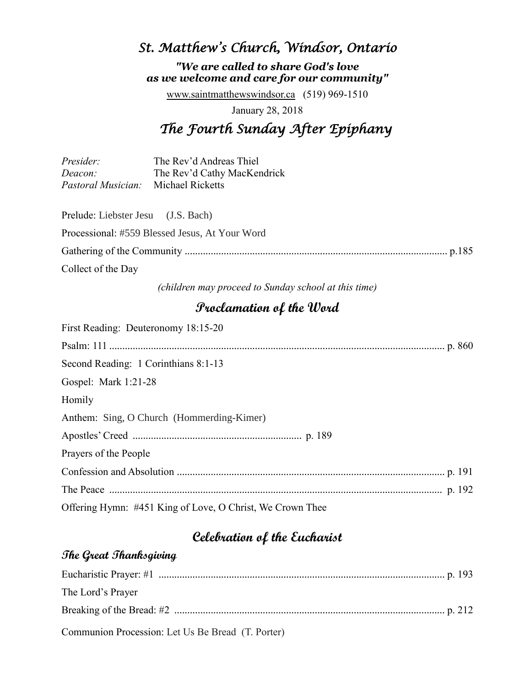# *St. Matthew's Church, Windsor, Ontario*

*"We are called to share God's love as we welcome and care for our community"*

[www.saintmatthewswindsor.ca](http://www.saintmatthewswindsor.ca/) (519) 969-1510

January 28, 2018

# *The Fourth Sunday After Epiphany*

| Presider:                                  | The Rev'd Andreas Thiel     |
|--------------------------------------------|-----------------------------|
| Deacon:                                    | The Rev'd Cathy MacKendrick |
| <i>Pastoral Musician:</i> Michael Ricketts |                             |

| Prelude: Liebster Jesu (J.S. Bach) |                                                |  |
|------------------------------------|------------------------------------------------|--|
|                                    | Processional: #559 Blessed Jesus, At Your Word |  |
|                                    |                                                |  |
| Collect of the Day                 |                                                |  |

*(children may proceed to Sunday school at this time)*

### **Proclamation of the Word**

| First Reading: Deuteronomy 18:15-20                       |  |
|-----------------------------------------------------------|--|
|                                                           |  |
| Second Reading: 1 Corinthians 8:1-13                      |  |
| Gospel: Mark 1:21-28                                      |  |
| Homily                                                    |  |
| Anthem: Sing, O Church (Hommerding-Kimer)                 |  |
|                                                           |  |
| Prayers of the People                                     |  |
|                                                           |  |
|                                                           |  |
| Offering Hymn: #451 King of Love, O Christ, We Crown Thee |  |

# **Celebration of the Eucharist**

#### **The Great Thanksgiving**

| The Lord's Prayer                                 |  |
|---------------------------------------------------|--|
|                                                   |  |
| Communion Procession: Let Us Be Bread (T. Porter) |  |